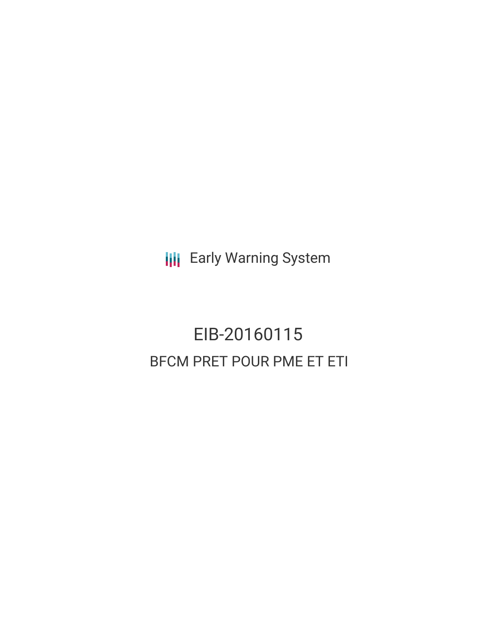**III** Early Warning System

# EIB-20160115 BFCM PRET POUR PME ET ETI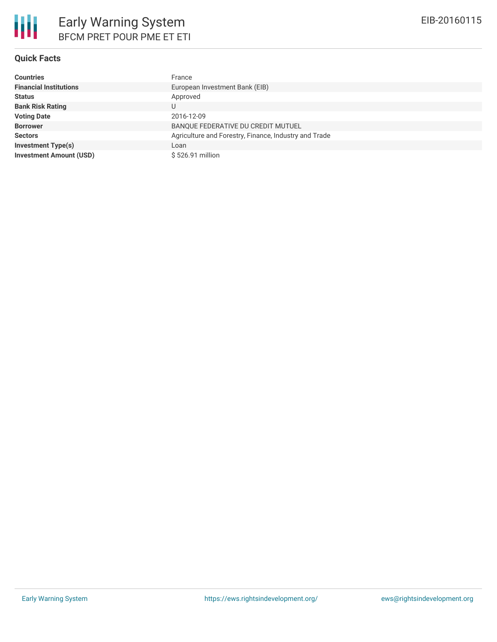| <b>Countries</b>               | France                                                |
|--------------------------------|-------------------------------------------------------|
| <b>Financial Institutions</b>  | European Investment Bank (EIB)                        |
| <b>Status</b>                  | Approved                                              |
| <b>Bank Risk Rating</b>        |                                                       |
| <b>Voting Date</b>             | 2016-12-09                                            |
| <b>Borrower</b>                | BANQUE FEDERATIVE DU CREDIT MUTUEL                    |
| <b>Sectors</b>                 | Agriculture and Forestry, Finance, Industry and Trade |
| <b>Investment Type(s)</b>      | Loan                                                  |
| <b>Investment Amount (USD)</b> | $$526.91$ million                                     |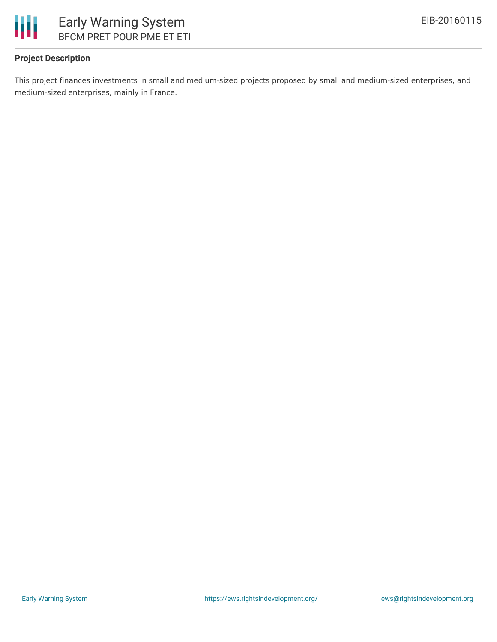

## **Project Description**

This project finances investments in small and medium-sized projects proposed by small and medium-sized enterprises, and medium-sized enterprises, mainly in France.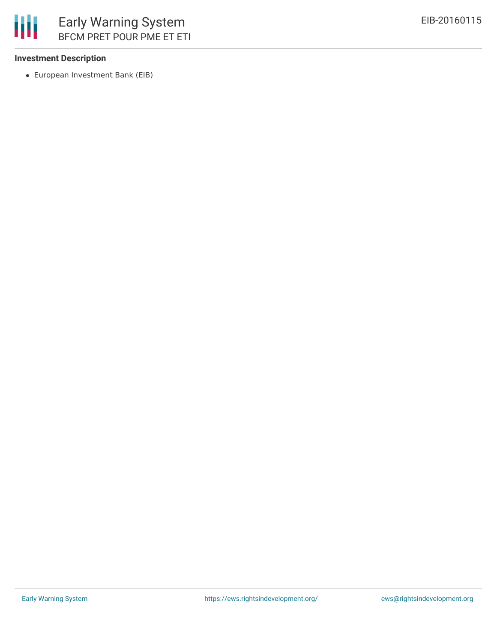

#### **Investment Description**

European Investment Bank (EIB)